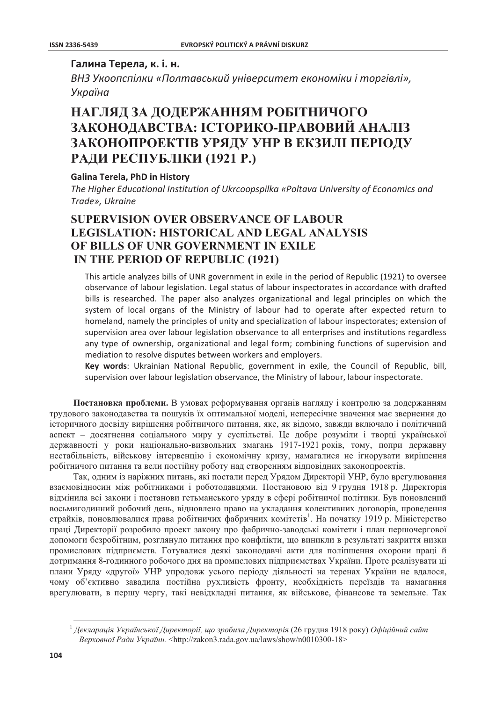## Галина Терела, к. і. н.

ВНЗ Укоопспілки «Полтавський університет економіки і торгівлі», Україна

# НАГЛЯД ЗА ДОДЕРЖАННЯМ РОБІТНИЧОГО ЗАКОНОДАВСТВА: ІСТОРИКО-ПРАВОВИЙ АНАЛІЗ ЗАКОНОПРОЕКТІВ УРЯДУ УНР В ЕКЗИЛІ ПЕРІОДУ РАДИ РЕСПУБЛІКИ (1921 Р.)

### **Galina Terela, PhD in History**

The Higher Educational Institution of Ukrcoopspilka «Poltava University of Economics and Trade», Ukraine

# **SUPERVISION OVER OBSERVANCE OF LABOUR LEGISLATION: HISTORICAL AND LEGAL ANALYSIS** OF BILLS OF UNR GOVERNMENT IN EXILE IN THE PERIOD OF REPUBLIC (1921)

This article analyzes bills of UNR government in exile in the period of Republic (1921) to oversee observance of labour legislation. Legal status of labour inspectorates in accordance with drafted bills is researched. The paper also analyzes organizational and legal principles on which the system of local organs of the Ministry of labour had to operate after expected return to homeland, namely the principles of unity and specialization of labour inspectorates; extension of supervision area over labour legislation observance to all enterprises and institutions regardless any type of ownership, organizational and legal form; combining functions of supervision and mediation to resolve disputes between workers and employers.

Key words: Ukrainian National Republic, government in exile, the Council of Republic, bill, supervision over labour legislation observance, the Ministry of labour, labour inspectorate.

Постановка проблеми. В умовах реформування органів нагляду і контролю за додержанням трудового законодавства та пошуків їх оптимальної моделі, непересічне значення має звернення до історичного досвіду вирішення робітничого питання, яке, як відомо, завжди включало і політичний аспект - досягнення соціального миру у суспільстві. Це добре розуміли і творці української державності у роки національно-визвольних змагань 1917-1921 років, тому, попри державну нестабільність, військову інтервенцію і економічну кризу, намагалися не ігнорувати вирішення робітничого питання та вели постійну роботу над створенням відповідних законопроектів.

Так, одним із наріжних питань, які постали перед Урядом Директорії УНР, було врегулювання взаємовідносин між робітниками і роботодавцями. Постановою від 9 грудня 1918 р. Директорія відмінила всі закони і постанови гетьманського уряду в сфері робітничої політики. Був поновлений восьмигодинний робочий день, відновлено право на укладання колективних договорів, проведення страйків, поновлювалися права робітничих фабричних комітетів<sup>1</sup>. На початку 1919 р. Міністерство праці Директорії розробило проект закону про фабрично-заводські комітети і план першочергової допомоги безробітним, розглянуло питання про конфлікти, що виникли в результаті закриття низки промислових підприємств. Готувалися деякі законодавчі акти для поліпшення охорони праці й дотримання 8-годинного робочого дня на промислових підприємствах України. Проте реалізувати ці плани Уряду «другої» УНР упродовж усього періоду діяльності на теренах України не вдалося, чому об'єктивно завадила постійна рухливість фронту, необхідність переїздів та намагання врегулювати, в першу чергу, такі невідкладні питання, як військове, фінансове та земельне. Так

 $^1$  Декларація Української Директорії, що зробила Директорія (26 грудня 1918 року) Офіційний сайт Верховної Ради України. <http://zakon3.rada.gov.ua/laws/show/n0010300-18>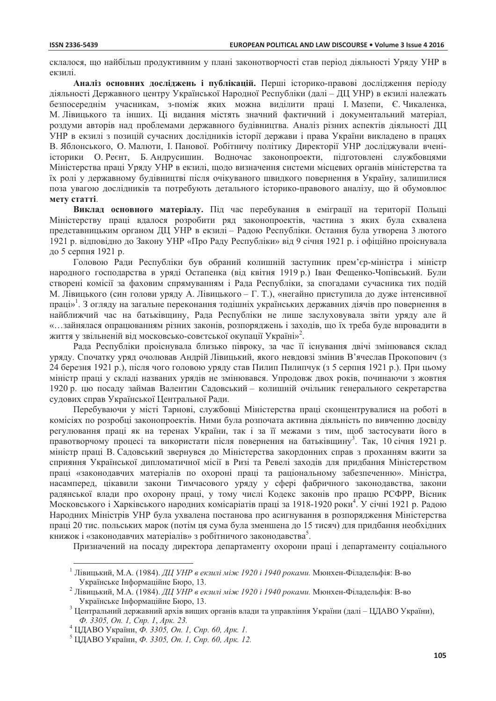склалося, що найбільш пролуктивним у плані законотворчості став період ліяльності Уряду УНР в екзилі.

Аналіз основних досліджень і публікацій. Перші історико-правові дослідження періоду діяльності Державного центру Української Народної Республіки (далі - ДЦ УНР) в екзилі належать безпосереднім учасникам, з-поміж яких можна виділити праці І. Мазепи, Є. Чикаленка, М. Лівицького та інших. Ці видання містять значний фактичний і документальний матеріал, роздуми авторів над проблемами державного будівництва. Аналіз різних аспектів діяльності ДЦ УНР в екзилі з позицій сучасних дослідників історії держави і права України викладено в працях В. Яблонського, О. Малюти, І. Панової. Робітничу політику Директорії УНР досліджували вченіісторики О. Реєнт, Б. Андрусишин. Водночас законопроекти, підготовлені службовцями Міністерства праці Уряду УНР в екзилі, щодо визначення системи місцевих органів міністерства та їх ролі у державному будівництві після очікуваного швидкого повернення в Україну, залишилися поза увагою дослідників та потребують детального історико-правового аналізу, що й обумовлює мету статті.

Виклад основного матеріалу. Під час перебування в еміграції на території Польщі Міністерству праці вдалося розробити ряд законопроектів, частина з яких була схвалена представницьким органом ДЦ УНР в екзилі - Радою Республіки. Остання була утворена 3 лютого 1921 р. відповідно до Закону УНР «Про Раду Республіки» від 9 січня 1921 р. і офіційно проіснувала до 5 серпня 1921 р.

Головою Ради Республіки був обраний колишній заступник прем'єр-міністра і міністр народного господарства в уряді Остапенка (від квітня 1919 р.) Іван Фещенко-Чопівський. Були створені комісії за фаховим спрямуванням і Рада Республіки, за спогадами сучасника тих подій М. Лівицького (син голови уряду А. Лівицького – Г. Т.), «негайно приступила до дуже інтенсивної праці»<sup>1</sup>. З огляду на загальне переконання тодішніх українських державних діячів про повернення в найближчий час на батьківшину, Рада Республіки не лише заслуховувала звіти уряду але й «...зайнялася опрацюванням різних законів, розпоряджень і заходів, що їх треба буде впровадити в життя у звільненій від московсько-совєтської окупації Україні»<sup>2</sup>.

Рада Республіки проіснувала близько півроку, за час її існування двічі змінювався склад уряду. Спочатку уряд очолював Андрій Лівицький, якого невдовзі змінив В'ячеслав Прокопович (з 24 березня 1921 р.), після чого головою уряду став Пилип Пилипчук (з 5 серпня 1921 р.). При цьому міністр праці у складі названих урядів не змінювався. Упродовж двох років, починаючи з жовтня 1920 р. цю посаду займав Валентин Садовський - колишній очільник генерального секретарства судових справ Української Центральної Ради.

Перебуваючи у місті Тарнові, службовці Міністерства праці сконцентрувалися на роботі в комісіях по розробці законопроектів. Ними була розпочата активна діяльність по вивченню досвіду регулювання праці як на теренах України, так і за її межами з тим, щоб застосувати його в правотворчому процесі та використати після повернення на батьківщину<sup>3</sup>. Так, 10 січня 1921 р. міністр праці В. Садовський звернувся до Міністерства закордонних справ з проханням вжити за сприяння Української липломатичної місії в Ризі та Ревелі захолів для прилбання Міністерством праці «законодавчих матеріалів по охороні праці та раціональному забезпеченню». Міністра, насамперед, цікавили закони Тимчасового уряду у сфері фабричного законодавства, закони радянської влади про охорону праці, у тому числі Кодекс законів про працю РСФРР, Вісник Московського і Харківського народних комісаріатів праці за 1918-1920 роки<sup>4</sup>. У січні 1921 р. Радою Народних Міністрів УНР була ухвалена постанова про асигнування в розпорядження Міністерства праці 20 тис. польських марок (потім ця сума була зменшена до 15 тисяч) для придбання необхідних книжок і «законодавчих матеріалів» з робітничого законодавства<sup>5</sup>.

Призначений на посаду директора департаменту охорони праці і департаменту соціального

<sup>&</sup>lt;sup>1</sup> Лівицький, М.А. (1984). ДЦ УНР в екзилі між 1920 і 1940 роками. Мюнхен-Філадельфія: В-во Українське Інформаційне Бюро, 13.

<sup>&</sup>lt;sup>2</sup> Лівицький, М.А. (1984). ДЦ УНР в екзилі між 1920 і 1940 роками. Мюнхен-Філадельфія: В-во Українське Інформаційне Бюро, 13.

<sup>&</sup>lt;sup>3</sup> Центральний державний архів вищих органів влади та управління України (далі – ЦДАВО України), Ф. 3305, Оп. 1, Спр. 1, Арк. 23.

<sup>&</sup>lt;sup>4</sup> ЦДАВО України, Ф. 3305, Оп. 1, Спр. 60, Арк. 1.

<sup>&</sup>lt;sup>5</sup> ЦДАВО України, Ф. 3305, Оп. 1, Спр. 60, Арк. 12.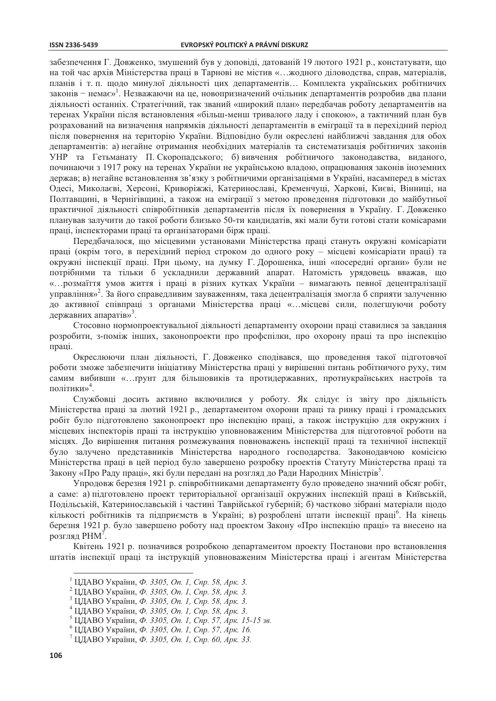#### **ISSN 2336-5439**

забезпечення Г. Довженко, змушений був у доповіді, датованій 19 лютого 1921 р., констатувати, що на той час архів Міністерства праці в Тарнові не містив «... жодного діловодства, справ, матеріалів, планів і т. п. щодо минулої діяльності цих департаментів... Комплекта українських робітничих законів – немає»<sup>1</sup>. Незважаючи на це, новопризначений очільник департаментів розробив два плани діяльності останніх. Стратегічний, так званий «широкий план» передбачав роботу департаментів на теренах України після встановлення «більш-менш тривалого ладу і спокою», а тактичний план був розрахований на визначення напрямків діяльності департаментів в еміграції та в перехідний період після повернення на територію України. Відповідно були окреслені найближчі завдання для обох департаментів: а) негайне отримання необхідних матеріалів та систематизація робітничих законів УНР та Гетьманату П. Скоропадського; б) вивчення робітничого законодавства, виданого, починаючи з 1917 року на теренах України не українською владою, опрацювання законів іноземних держав; в) негайне встановлення зв'язку з робітничими організаціями в Україні, насамперед в містах Одесі, Миколаєві, Херсоні, Криворіжжі, Катеринославі, Кременчуці, Харкові, Києві, Вінниці, на Полтавщині, в Чернігівщині, а також на еміграції з метою проведення підготовки до майбутньої практичної діяльності співробітників департаментів після їх повернення в Україну. Г. Довженко планував залучити до такої роботи близько 50-ти кандидатів, які мали бути готові стати комісарами праці, інспекторами праці та організаторами бірж праці.

Передбачалося, що місцевими установами Міністерства праці стануть окружні комісаріати праці (окрім того, в перехідний період строком до одного року – місцеві комісаріати праці) та окружні інспекції праці. При цьому, на думку Г. Дорошенка, інші «посередні органи» були не потрібними та тільки б ускладнили державний апарат. Натомість урядовець вважав, що «...розмаїття умов життя і праці в різних кутках України - вимагають певної децентралізації управління»<sup>2</sup>. За його справедливим зауваженням, така децентралізація змогла б сприяти залученню до активної співпраці з органами Міністерства праці «...місцеві сили, полегшуючи роботу державних апаратів»<sup>3</sup>.

Стосовно нормопроектувальної діяльності департаменту охорони праці ставилися за завдання розробити, з-поміж інших, законопроєкти про профспілки, про охорону праці та про інспекцію праці.

Окреслюючи план діяльності, Г. Довженко сподівався, що проведення такої підготовчої роботи зможе забезпечити ініціативу Міністерства праці у вирішенні питань робітничого руху, тим самим вибивши «... грунт для більшовиків та протидержавних, протиукраїнських настроїв та політики»<sup>4</sup>.

Службовці досить активно включилися у роботу. Як слідує із звіту про діяльність Міністерства праці за лютий 1921 р., департаментом охорони праці та ринку праці і громадських робіт було підготовлено законопроєкт про інспекцію праці, а також інструкцію для окружних і місцевих інспекторів праці та інструкцію уповноваженим Міністерства для підготовчої роботи на місцях. До вирішення питання розмежування повноважень інспекції праці та технічної інспекції було залучено представників Міністерства народного господарства. Законодавчою комісією Міністерства праці в цей період було завершено розробку проектів Статуту Міністерства праці та Закону «Про Раду праці», які були передані на розгляд до Ради Народних Міністрів<sup>5</sup>.

Упродовж березня 1921 р. співробітниками департаменту було проведено значний обсяг робіт, а саме: а) підготовлено проект територіальної організації окружних інспекцій праці в Київській, Подільській, Катеринославській і частині Таврійської губерній; б) частково зібрані матеріали щодо кількості робітників та підприємств в Україні; в) розроблені штати інспекції праці<sup>6</sup>. На кінець березня 1921 р. було завершено роботу над проектом Закону «Про інспекцію праці» та внесено на розгляд РНМ<sup>7</sup>.

Квітень 1921 р. позначився розробкою департаментом проекту Постанови про встановлення штатів інспекції праці та інструкцій уповноваженим Міністерства праці і агентам Міністерства

- <sup>1</sup> ЦДАВО України, Ф. 3305, Оп. 1, Спр. 58, Арк. 3.
- <sup>2</sup> ЦДАВО України, Ф. 3305, Оп. 1, Спр. 58, Арк. 3.
- <sup>3</sup> ЦДАВО України, Ф. 3305, Оп. 1, Спр. 58, Арк. 3.
- <sup>4</sup> ЦДАВО України, Ф. 3305, Оп. 1, Спр. 58, Арк. 3.
- <sup>5</sup> ЦДАВО України, Ф. 3305, Оп. 1, Спр. 57, Арк. 15-15 зв.
- <sup>6</sup> ЦДАВО України, Ф. 3305, Оп. 1, Спр. 57, Арк. 16.

<sup>7</sup> ЦДАВО України, Ф. 3305, Оп. 1, Спр. 60, Арк. 33.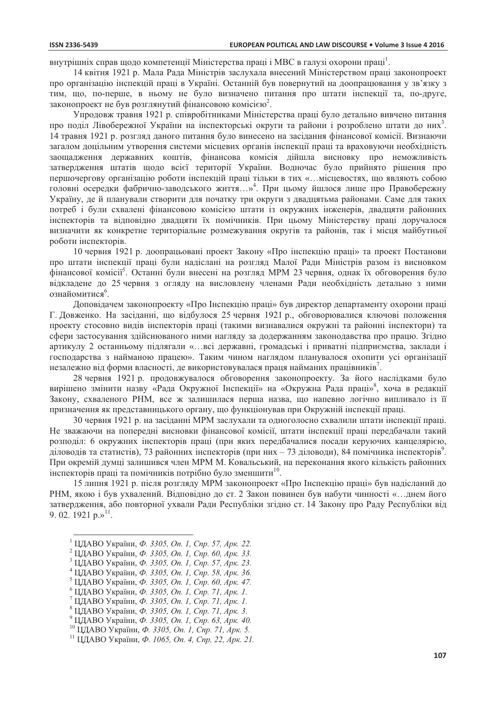внутрішніх справ шоло компетенції Міністерства праці і МВС в галузі охорони праці<sup>1</sup>.

14 квітня 1921 р. Мала Рада Міністрів заслухала внесений Міністерством праці законопроект про організацію інспекцій праці в Україні. Останній був повернутий на доопрацювання у зв'язку з тим, що, по-перше, в ньому не було визначено питання про штати інспекції та, по-друге, законопроект не був розглянутий фінансовою комісією<sup>2</sup>.

Упроловж травня 1921 р. співробітниками Міністерства праці було летально вивчено питання про поділ Лівобережної України на інспекторські округи та райони і розроблено штати до них<sup>3</sup>. 14 травня 1921 р. розгляд даного питання було винесено на засідання фінансової комісії. Визнаючи загалом доцільним утворення системи місцевих органів інспекції праці та враховуючи необхідність заощадження державних коштів, фінансова комісія дійшла висновку про неможливість затвердження штатів щодо всієї території України. Водночас було прийнято рішення про першочергову організацію роботи інспекцій праці тільки в тих «...місцевостях, що являють собою головні осередки фабрично-заводського життя...»<sup>4</sup>. При цьому йшлося лише про Правобережну Україну, де й планували створити для початку три округи з двадцятьма районами. Саме для таких потреб і були схвалені фінансовою комісією штати із окружних інженерів, двадцяти районних інспекторів та відповідно двадцяти їх помічників. При цьому Міністерству праці доручалося визначити як конкретне територіальне розмежування округів та районів, так і місця майбутньої роботи інспекторів.

10 червня 1921 р. доопрацьовані проект Закону «Про інспекцію праці» та проект Постанови про штати інспекції праці були надіслані на розгляд Малої Ради Міністрів разом із висновком фінансової комісії<sup>5</sup>. Останні були внесені на розгляд МРМ 23 червня, однак їх обговорення було відкладене до 25 червня з огляду на висловлену членами Ради необхідність детально з ними ознайомитися<sup>6</sup>.

Доповідачем законопроекту «Про Інспекцію праці» був директор департаменту охорони праці Г. Довженко. На засіданні, що відбулося 25 червня 1921 р., обговорювалися ключові положення проекту стосовно видів інспекторів праці (такими визнавалися окружні та районні інспектори) та сфери застосування здійснюваного ними нагляду за додержанням законодавства про працю. Згідно артикулу 2 останньому підлягали «...всі державні, громадські і приватні підприємства, заклади і господарства з найманою працею». Таким чином наглядом планувалося охопити усі організації незалежно від форми власності, де використовувалася праця найманих працівників'.

28 червня 1921 р. продовжувалося обговорення законопроекту. За його наслідками було вирішено змінити назву «Рада Окружної Інспекції» на «Окружна Рада праці»<sup>8</sup>, хоча в редакції Закону, схваленого РНМ, все ж залишилася перша назва, що напевно логічно випливало із її призначення як представницького органу, що функціонував при Окружній інспекції праці.

30 червня 1921 р. на засіданні МРМ заслухали та одноголосно схвалили штати інспекції праці. Не зважаючи на попередні висновки фінансової комісії, штати інспекції праці передбачали такий розподіл: 6 окружних інспекторів праці (при яких передбачалися посади керуючих канцелярією, діловодів та статистів), 73 районних інспекторів (при них - 73 діловоди), 84 помічника інспекторів<sup>9</sup>. При окремій лумпі залишився член МРМ М. Ковальський, на переконання якого кількість районних інспекторів праці та помічників потрібно було зменшити<sup>10</sup>.

15 липня 1921 р. після розгляду МРМ законопроект «Про Інспекцію праці» був надісланий до РНМ, якою і був ухвалений. Відповідно до ст. 2 Закон повинен був набути чинності «...днем його затвердження, або повторної ухвали Ради Республіки згідно ст. 14 Закону про Раду Республіки від 9. 02. 1921  $p_{.}\$ <sup>11</sup>.

<sup>&</sup>lt;sup>1</sup> ЦДАВО України, Ф. 3305, Оп. 1, Спр. 57, Арк. 22.

<sup>&</sup>lt;sup>2</sup> ЦДАВО України, Ф. 3305, Оп. 1, Спр. 60, Арк. 33.

<sup>&</sup>lt;sup>3</sup> ЦДАВО України, Ф. 3305, Оп. 1, Спр. 57, Арк. 23.

<sup>&</sup>lt;sup>4</sup> ЦДАВО України, Ф. 3305, Оп. 1, Спр. 58, Арк. 36.

<sup>&</sup>lt;sup>5</sup> ЦДАВО України, Ф. 3305, Оп. 1, Спр. 60, Арк. 47.

<sup>&</sup>lt;sup>6</sup> ЦДАВО України, Ф. 3305, Оп. 1, Спр. 71, Арк. 1.

<sup>&</sup>lt;sup>7</sup> ЦДАВО України, Ф. 3305, Оп. 1, Спр. 71, Арк. 1.

<sup>&</sup>lt;sup>8</sup> ЦДАВО України, Ф. 3305, Оп. 1, Спр. 71, Арк. 3.

<sup>&</sup>lt;sup>9</sup> ЦДАВО України, Ф. 3305, Оп. 1, Спр. 63, Арк. 40.

<sup>&</sup>lt;sup>10</sup> ЦДАВО України, Ф. 3305, Оп. 1, Спр. 71, Арк. 5.

<sup>11</sup> ЦДАВО України, Ф. 1065, Оп. 4, Спр. 22, Арк. 21.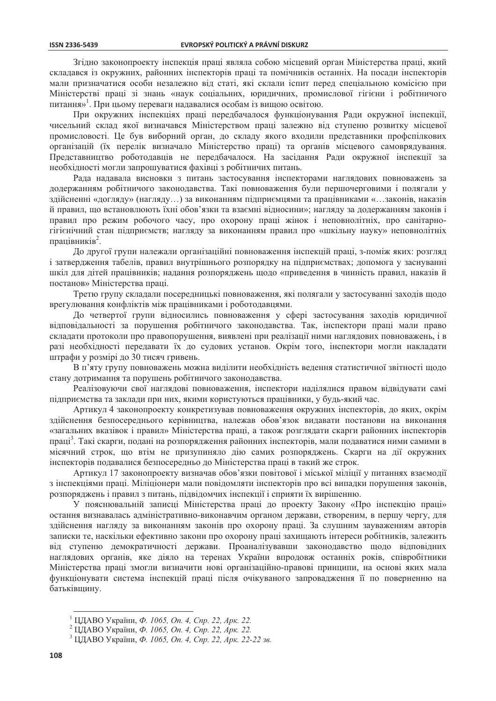Згілно законопроекту інспекція праці являла собою місцевий орган Міністерства праці, який складався із окружних, районних інспекторів праці та помічників останніх. На посади інспекторів мали призначатися особи незалежно від статі, які склали іспит перед спеціальною комісією при Міністерстві праці зі знань «наук соціальних, юридичних, промислової гігієни і робітничого питання»<sup>1</sup>. При цьому переваги надавалися особам із вищою освітою.

При окружних інспекціях праці передбачалося функціонування Ради окружної інспекції, чисельний склад якої визначався Міністерством праці залежно від ступеню розвитку місцевої промисловості. Це був виборний орган, до складу якого входили представники профспілкових організацій (їх перелік визначало Міністерство праці) та органів місцевого самоврядування. Представництво роботодавців не передбачалося. На засідання Ради окружної інспекції за необхідності могли запрошуватися фахівці з робітничих питань.

Рада надавала висновки з питань застосування інспекторами наглядових повноважень за додержанням робітничого законодавства. Такі повноваження були першочерговими і полягали у здійсненні «догляду» (нагляду...) за виконанням підприємцями та працівниками «...законів, наказів й правил, що встановлюють їхні обов'язки та взаємні відносини»; нагляду за додержанням законів і правил про режим робочого часу, про охорону праці жінок і неповнолітніх, про санітарногігієнічний стан підприємств; нагляду за виконанням правил про «шкільну науку» неповнолітніх працівників<sup>2</sup>.

До другої групи належали організаційні повноваження інспекцій праці, з-поміж яких: розгляд і затвердження табелів, правил внутрішнього розпорядку на підприємствах; допомога у заснуванні шкіл для дітей працівників; надання розпоряджень щодо «приведення в чинність правил, наказів й постанов» Міністерства праці.

Третю групу складали посередницькі повноваження, які полягали у застосуванні заходів щодо врегулювання конфліктів між працівниками і роботодавцями.

До четвертої групи відносились повноваження у сфері застосування заходів юридичної відповідальності за порушення робітничого законодавства. Так, інспектори праці мали право складати протоколи про правопорушення, виявлені при реалізації ними наглядових повноважень, і в разі необхідності передавати їх до судових установ. Окрім того, інспектори могли накладати штрафи у розмірі до 30 тисяч гривень.

В п'яту групу повноважень можна виділити необхідність ведення статистичної звітності щодо стану дотримання та порушень робітничого законодавства.

Реалізовуючи свої наглядові повноваження, інспектори наділялися правом відвідувати самі підприємства та заклади при них, якими користуються працівники, у будь-який час.

Артикул 4 законопроекту конкретизував повноваження окружних інспекторів, до яких, окрім здійснення безпосереднього керівництва, належав обов'язок видавати постанови на виконання «загальних вказівок і правил» Міністерства праці, а також розглядати скарги районних інспекторів праці<sup>3</sup>. Такі скарги, подані на розпорядження районних інспекторів, мали подаватися ними самими в місячний строк, що втім не призупиняло дію самих розпоряджень. Скарги на дії окружних інспекторів полавалися безпосерелньо до Міністерства праці в такий же строк.

Артикул 17 законопроекту визначав обов'язки повітової і міської міліції у питаннях взаємодії з інспекціями праці. Міліціонери мали повідомляти інспекторів про всі випадки порушення законів, розпоряджень і правил з питань, підвідомчих інспекції і сприяти їх вирішенню.

У пояснювальній записці Міністерства праці до проекту Закону «Про інспекцію праці» остання визнавалась адміністративно-виконавчим органом держави, створеним, в першу чергу, для здійснення нагляду за виконанням законів про охорону праці. За слушним зауваженням авторів записки те, наскільки ефективно закони про охорону праці захищають інтереси робітників, залежить від ступеню демократичності держави. Проаналізувавши законодавство щодо відповідних наглядових органів, яке діяло на теренах України впродовж останніх років, співробітники Міністерства праці змогли визначити нові організаційно-правові принципи, на основі яких мала функціонувати система інспекцій праці після очікуваного запровадження її по поверненню на батьківшину.

<sup>&</sup>lt;sup>1</sup> ЦДАВО України, Ф. 1065, Оп. 4, Спр. 22, Арк. 22.

<sup>&</sup>lt;sup>2</sup> ЦДАВО України, Ф. 1065, Оп. 4, Спр. 22, Арк. 22.

<sup>3</sup> ЦДАВО України, Ф. 1065, Оп. 4, Спр. 22, Арк. 22-22 зв.